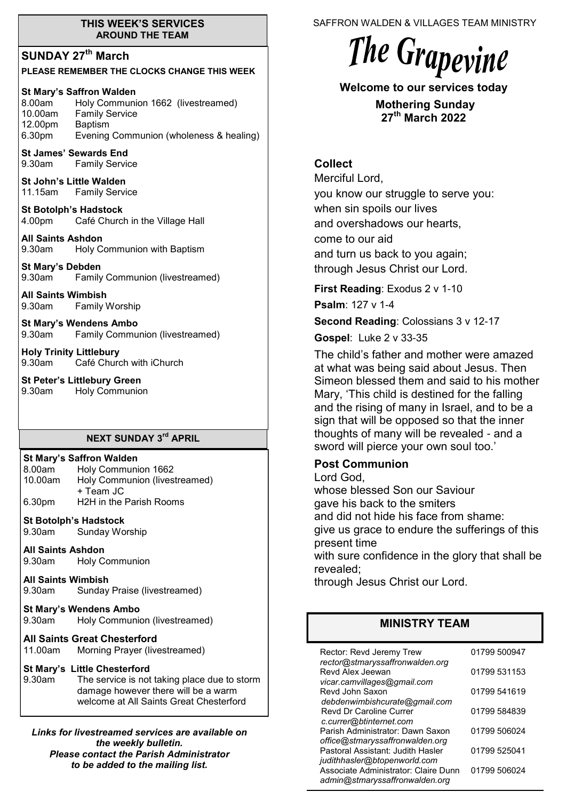### **THIS WEEK'S SERVICES AROUND THE TEAM**

# **SUNDAY 27th March**

### **PLEASE REMEMBER THE CLOCKS CHANGE THIS WEEK**

### **St Mary's Saffron Walden**

8.00am Holy Communion 1662 (livestreamed) 10.00am Family Service 12.00pm Baptism 6.30pm Evening Communion (wholeness & healing)

**St James' Sewards End**<br>9.30am **Family Servic Family Service** 

**St John's Little Walden**  11.15am Family Service

**St Botolph's Hadstock**  4.00pm Café Church in the Village Hall

**All Saints Ashdon**  9.30am Holy Communion with Baptism

**St Mary's Debden** 9.30am Family Communion (livestreamed)

**All Saints Wimbish** 9.30am Family Worship

**St Mary's Wendens Ambo** 9.30am Family Communion (livestreamed)

**Holy Trinity Littlebury** 9.30am Café Church with iChurch

**St Peter's Littlebury Green** 9.30am Holy Communion

### **NEXT SUNDAY 3 rd APRIL**

### **St Mary's Saffron Walden**

8.00am Holy Communion 1662 10.00am Holy Communion (livestreamed) + Team JC 6.30pm H2H in the Parish Rooms

**St Botolph's Hadstock**  9.30am Sunday Worship

**All Saints Ashdon**  9.30am Holy Communion

**All Saints Wimbish** 9.30am Sunday Praise (livestreamed)

# **St Mary's Wendens Ambo**

Holy Communion (livestreamed)

### **All Saints Great Chesterford**

11.00am Morning Prayer (livestreamed)

### **St Mary's Little Chesterford**

9.30am The service is not taking place due to storm damage however there will be a warm welcome at All Saints Great Chesterford

*Links for livestreamed services are available on the weekly bulletin. Please contact the Parish Administrator to be added to the mailing list.*

SAFFRON WALDEN & VILLAGES TEAM MINISTRY

# The Grapevine

**Welcome to our services today** 

**Mothering Sunday 27th March 2022**

# **Collect**

Merciful Lord, you know our struggle to serve you: when sin spoils our lives and overshadows our hearts, come to our aid and turn us back to you again; through Jesus Christ our Lord.

**First Reading**: Exodus 2 v 1-10

**Psalm**: 127 v 1-4

**Second Reading**: Colossians 3 v 12-17

**Gospel**: Luke 2 v 33-35

The child's father and mother were amazed at what was being said about Jesus. Then Simeon blessed them and said to his mother Mary, 'This child is destined for the falling and the rising of many in Israel, and to be a sign that will be opposed so that the inner thoughts of many will be revealed - and a sword will pierce your own soul too.'

# **Post Communion**

Lord God,

whose blessed Son our Saviour gave his back to the smiters and did not hide his face from shame: give us grace to endure the sufferings of this present time

with sure confidence in the glory that shall be revealed;

through Jesus Christ our Lord.

# **MINISTRY TEAM**

| Rector: Revd Jeremy Trew<br>rector@stmaryssaffronwalden.org                                            | 01799 500947 |
|--------------------------------------------------------------------------------------------------------|--------------|
| Revd Alex Jeewan                                                                                       | 01799 531153 |
| vicar.camvillages@gmail.com<br>Revd John Saxon                                                         | 01799 541619 |
| debdenwimbishcurate@gmail.com<br><b>Revd Dr Caroline Currer</b>                                        | 01799 584839 |
| c.currer@btinternet.com<br>Parish Administrator: Dawn Saxon                                            | 01799 506024 |
| office@stmaryssaffronwalden.org<br>Pastoral Assistant: Judith Hasler                                   | 01799 525041 |
| judithhasler@btopenworld.com<br>Associate Administrator: Claire Dunn<br>admin@stmaryssaffronwalden.org | 01799 506024 |